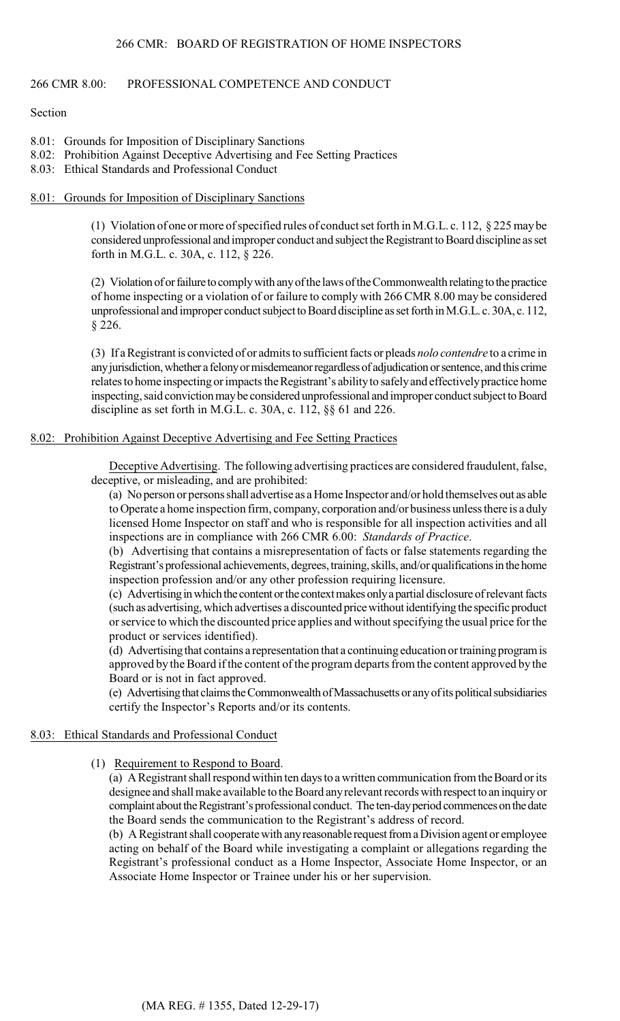## 266 CMR 8.00: PROFESSIONAL COMPETENCE AND CONDUCT

## Section

- 8.01: Grounds for Imposition of Disciplinary Sanctions
- 8.02: Prohibition Against Deceptive Advertising and Fee Setting Practices
- 8.03: Ethical Standards and Professional Conduct

### 8.01: Grounds for Imposition of Disciplinary Sanctions

(1) Violation of one or more of specified rules of conduct set forth in M.G.L. c. 112, § 225 may be considered unprofessional and improper conduct and subject the Registrant to Board discipline as set forth in M.G.L. c. 30A, c. 112, § 226.

 of home inspecting or a violation of or failure to comply with 266 CMR 8.00 may be considered (2) Violation of or failure to comply with any of the laws of the Commonwealth relating to the practice unprofessional and improper conduct subject to Board discipline as set forth in M.G.L. c. 30A, c. 112, § 226.

(3) If a Registrant is convicted of or admits to sufficient facts or pleads *nolo contendre* to a crime in any jurisdiction, whether a felony or misdemeanor regardless of adjudication or sentence, and this crime relates to home inspecting or impacts the Registrant's ability to safely and effectively practice home inspecting, said conviction may be considered unprofessional and improper conduct subject to Board discipline as set forth in M.G.L. c. 30A, c. 112, §§ 61 and 226.

## 8.02: Prohibition Against Deceptive Advertising and Fee Setting Practices

Deceptive Advertising. The following advertising practices are considered fraudulent, false, deceptive, or misleading, and are prohibited:

 licensed Home Inspector on staff and who is responsible for all inspection activities and all (a) No person or persons shall advertise as a Home Inspector and/or hold themselves out as able to Operate a home inspection firm, company, corporation and/or business unless there is a duly inspections are in compliance with 266 CMR 6.00: *Standards of Practice*.

(b) Advertising that contains a misrepresentation of facts or false statements regarding the Registrant's professional achievements, degrees, training, skills, and/or qualifications in the home inspection profession and/or any other profession requiring licensure.

(c) Advertising in which the content or the context makes only a partial disclosure of relevant facts (such as advertising, which advertises a discounted price without identifying the specific product or service to which the discounted price applies and without specifying the usual price for the product or services identified).

(d) Advertising that contains a representation that a continuing education or training program is approved by the Board if the content of the program departs from the content approved by the Board or is not in fact approved.

(e) Advertising that claims the Commonwealth of Massachusetts or any of its political subsidiaries certify the Inspector's Reports and/or its contents.

#### 8.03: Ethical Standards and Professional Conduct

#### (1) Requirement to Respond to Board.

(a) A Registrant shall respond within ten days to a written communication from the Board or its designee and shall make available to the Board any relevant records with respect to an inquiry or complaint about the Registrant's professional conduct. The ten-day period commences on the date the Board sends the communication to the Registrant's address of record.

(b) A Registrant shall cooperate with any reasonable request from a Division agent or employee acting on behalf of the Board while investigating a complaint or allegations regarding the Registrant's professional conduct as a Home Inspector, Associate Home Inspector, or an Associate Home Inspector or Trainee under his or her supervision.